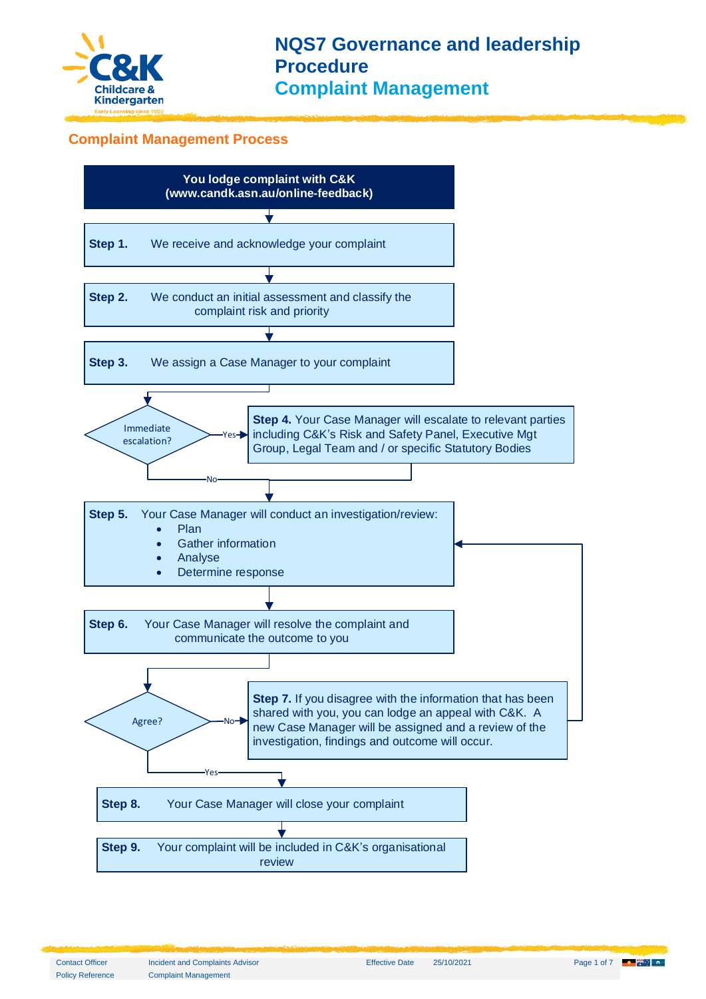

#### **Complaint Management Process**



Policy Reference Complaint Management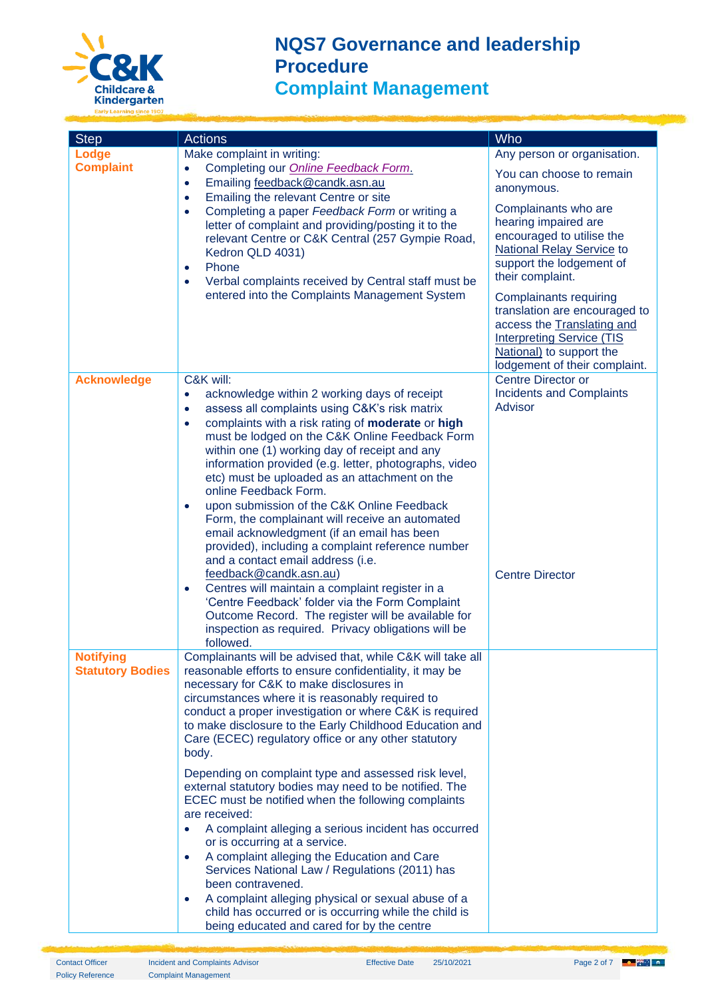

| <b>Step</b>                                 | <b>Actions</b>                                                                                                                                                                                                                                                                                                                                                                                                                                                                                                                                                                                                                                                                                     | <b>Who</b>                                                                                                                                                                                                                                                                                                                                                                                                                              |
|---------------------------------------------|----------------------------------------------------------------------------------------------------------------------------------------------------------------------------------------------------------------------------------------------------------------------------------------------------------------------------------------------------------------------------------------------------------------------------------------------------------------------------------------------------------------------------------------------------------------------------------------------------------------------------------------------------------------------------------------------------|-----------------------------------------------------------------------------------------------------------------------------------------------------------------------------------------------------------------------------------------------------------------------------------------------------------------------------------------------------------------------------------------------------------------------------------------|
| Lodge<br><b>Complaint</b>                   | Make complaint in writing:<br>Completing our <b>Online Feedback Form.</b><br>$\bullet$<br>Emailing feedback@candk.asn.au<br>$\bullet$<br>Emailing the relevant Centre or site<br>$\bullet$<br>Completing a paper Feedback Form or writing a<br>٠<br>letter of complaint and providing/posting it to the<br>relevant Centre or C&K Central (257 Gympie Road,<br>Kedron QLD 4031)<br>Phone<br>$\bullet$<br>Verbal complaints received by Central staff must be<br>$\bullet$<br>entered into the Complaints Management System                                                                                                                                                                         | Any person or organisation.<br>You can choose to remain<br>anonymous.<br>Complainants who are<br>hearing impaired are<br>encouraged to utilise the<br><b>National Relay Service to</b><br>support the lodgement of<br>their complaint.<br><b>Complainants requiring</b><br>translation are encouraged to<br>access the Translating and<br><b>Interpreting Service (TIS</b><br>National) to support the<br>lodgement of their complaint. |
| <b>Acknowledge</b>                          | C&K will:<br>acknowledge within 2 working days of receipt<br>$\bullet$<br>assess all complaints using C&K's risk matrix<br>$\bullet$<br>complaints with a risk rating of moderate or high<br>$\bullet$<br>must be lodged on the C&K Online Feedback Form<br>within one (1) working day of receipt and any<br>information provided (e.g. letter, photographs, video<br>etc) must be uploaded as an attachment on the<br>online Feedback Form.<br>upon submission of the C&K Online Feedback<br>$\bullet$<br>Form, the complainant will receive an automated<br>email acknowledgment (if an email has been<br>provided), including a complaint reference number<br>and a contact email address (i.e. | <b>Centre Director or</b><br><b>Incidents and Complaints</b><br>Advisor                                                                                                                                                                                                                                                                                                                                                                 |
|                                             | feedback@candk.asn.au)<br>Centres will maintain a complaint register in a<br>$\bullet$<br>'Centre Feedback' folder via the Form Complaint<br>Outcome Record. The register will be available for<br>inspection as required. Privacy obligations will be<br>followed.                                                                                                                                                                                                                                                                                                                                                                                                                                | <b>Centre Director</b>                                                                                                                                                                                                                                                                                                                                                                                                                  |
| <b>Notifying</b><br><b>Statutory Bodies</b> | Complainants will be advised that, while C&K will take all<br>reasonable efforts to ensure confidentiality, it may be<br>necessary for C&K to make disclosures in<br>circumstances where it is reasonably required to<br>conduct a proper investigation or where C&K is required<br>to make disclosure to the Early Childhood Education and<br>Care (ECEC) regulatory office or any other statutory<br>body.                                                                                                                                                                                                                                                                                       |                                                                                                                                                                                                                                                                                                                                                                                                                                         |
|                                             | Depending on complaint type and assessed risk level,<br>external statutory bodies may need to be notified. The<br>ECEC must be notified when the following complaints<br>are received:<br>A complaint alleging a serious incident has occurred<br>or is occurring at a service.<br>A complaint alleging the Education and Care<br>$\bullet$<br>Services National Law / Regulations (2011) has<br>been contravened.<br>A complaint alleging physical or sexual abuse of a<br>child has occurred or is occurring while the child is<br>being educated and cared for by the centre                                                                                                                    |                                                                                                                                                                                                                                                                                                                                                                                                                                         |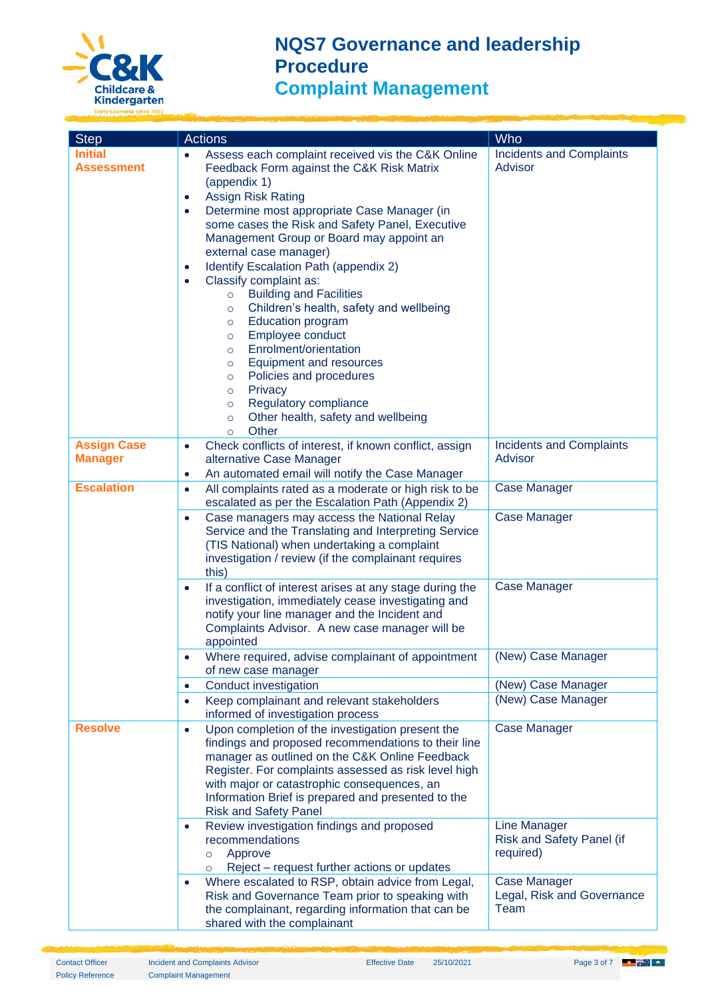

| <b>Step</b>                          | <b>Actions</b>                                                                                                                                                                                                                                                                                                                                                                                                                                                                                                                                                                                                                                                                                                                                                                                                                        | Who                                                           |
|--------------------------------------|---------------------------------------------------------------------------------------------------------------------------------------------------------------------------------------------------------------------------------------------------------------------------------------------------------------------------------------------------------------------------------------------------------------------------------------------------------------------------------------------------------------------------------------------------------------------------------------------------------------------------------------------------------------------------------------------------------------------------------------------------------------------------------------------------------------------------------------|---------------------------------------------------------------|
| <b>Initial</b><br><b>Assessment</b>  | Assess each complaint received vis the C&K Online<br>$\bullet$<br>Feedback Form against the C&K Risk Matrix<br>(appendix 1)<br><b>Assign Risk Rating</b><br>٠<br>Determine most appropriate Case Manager (in<br>٠<br>some cases the Risk and Safety Panel, Executive<br>Management Group or Board may appoint an<br>external case manager)<br>Identify Escalation Path (appendix 2)<br>Classify complaint as:<br><b>Building and Facilities</b><br>$\circ$<br>Children's health, safety and wellbeing<br>$\circ$<br><b>Education program</b><br>$\circ$<br>Employee conduct<br>$\circ$<br>Enrolment/orientation<br>$\circ$<br>Equipment and resources<br>$\circ$<br>Policies and procedures<br>$\circ$<br>Privacy<br>$\circ$<br>Regulatory compliance<br>$\circ$<br>Other health, safety and wellbeing<br>$\circ$<br>Other<br>$\circ$ | <b>Incidents and Complaints</b><br><b>Advisor</b>             |
| <b>Assign Case</b><br><b>Manager</b> | Check conflicts of interest, if known conflict, assign<br>$\bullet$<br>alternative Case Manager<br>An automated email will notify the Case Manager<br>٠                                                                                                                                                                                                                                                                                                                                                                                                                                                                                                                                                                                                                                                                               | <b>Incidents and Complaints</b><br>Advisor                    |
| <b>Escalation</b>                    | All complaints rated as a moderate or high risk to be<br>$\bullet$<br>escalated as per the Escalation Path (Appendix 2)<br>Case managers may access the National Relay<br>$\bullet$<br>Service and the Translating and Interpreting Service<br>(TIS National) when undertaking a complaint<br>investigation / review (if the complainant requires<br>this)                                                                                                                                                                                                                                                                                                                                                                                                                                                                            | <b>Case Manager</b><br>Case Manager                           |
|                                      | If a conflict of interest arises at any stage during the<br>$\bullet$<br>investigation, immediately cease investigating and<br>notify your line manager and the Incident and<br>Complaints Advisor. A new case manager will be<br>appointed                                                                                                                                                                                                                                                                                                                                                                                                                                                                                                                                                                                           | <b>Case Manager</b>                                           |
|                                      | Where required, advise complainant of appointment   (New) Case Manager<br>of new case manager                                                                                                                                                                                                                                                                                                                                                                                                                                                                                                                                                                                                                                                                                                                                         |                                                               |
|                                      | Conduct investigation<br>$\bullet$<br>Keep complainant and relevant stakeholders<br>$\bullet$<br>informed of investigation process                                                                                                                                                                                                                                                                                                                                                                                                                                                                                                                                                                                                                                                                                                    | (New) Case Manager<br>(New) Case Manager                      |
| <b>Resolve</b>                       | Upon completion of the investigation present the<br>$\bullet$<br>findings and proposed recommendations to their line<br>manager as outlined on the C&K Online Feedback<br>Register. For complaints assessed as risk level high<br>with major or catastrophic consequences, an<br>Information Brief is prepared and presented to the<br><b>Risk and Safety Panel</b>                                                                                                                                                                                                                                                                                                                                                                                                                                                                   | <b>Case Manager</b>                                           |
|                                      | Review investigation findings and proposed<br>recommendations<br>Approve<br>$\circ$<br>Reject – request further actions or updates<br>$\circ$                                                                                                                                                                                                                                                                                                                                                                                                                                                                                                                                                                                                                                                                                         | <b>Line Manager</b><br>Risk and Safety Panel (if<br>required) |
|                                      | Where escalated to RSP, obtain advice from Legal,<br>Risk and Governance Team prior to speaking with<br>the complainant, regarding information that can be<br>shared with the complainant                                                                                                                                                                                                                                                                                                                                                                                                                                                                                                                                                                                                                                             | <b>Case Manager</b><br>Legal, Risk and Governance<br>Team     |

Policy Reference Complaint Management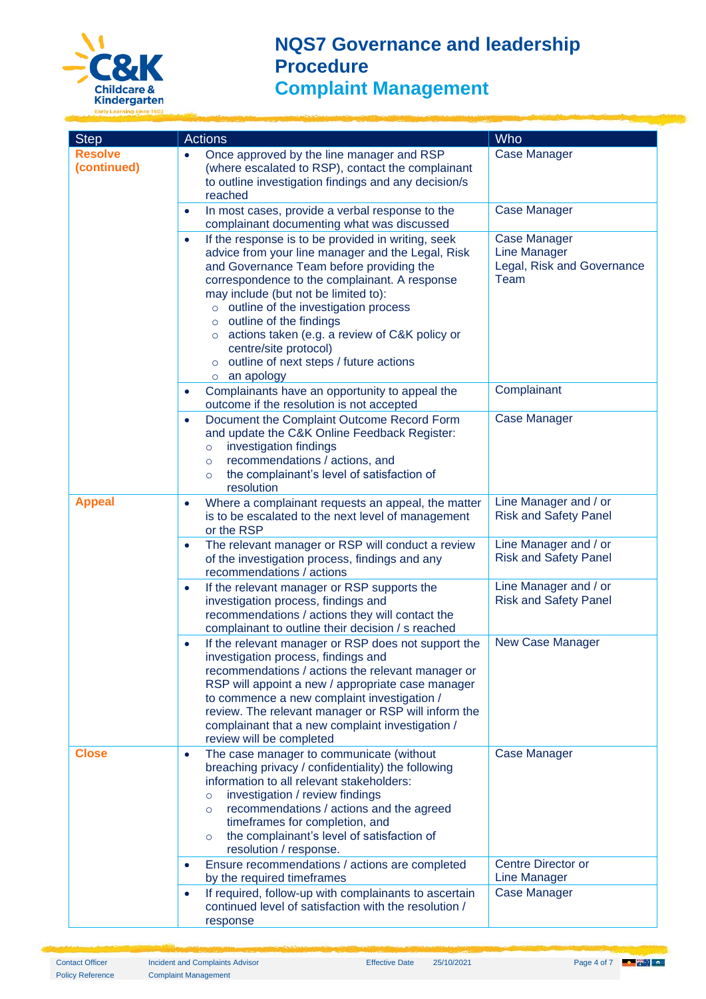

| <b>Step</b>                   | <b>Actions</b>                                                                                                                                                                                                                                                                                                                                                                                                                                                               | Who                                                                              |
|-------------------------------|------------------------------------------------------------------------------------------------------------------------------------------------------------------------------------------------------------------------------------------------------------------------------------------------------------------------------------------------------------------------------------------------------------------------------------------------------------------------------|----------------------------------------------------------------------------------|
| <b>Resolve</b><br>(continued) | Once approved by the line manager and RSP<br>$\bullet$<br>(where escalated to RSP), contact the complainant<br>to outline investigation findings and any decision/s<br>reached                                                                                                                                                                                                                                                                                               | <b>Case Manager</b>                                                              |
|                               | In most cases, provide a verbal response to the<br>$\bullet$<br>complainant documenting what was discussed                                                                                                                                                                                                                                                                                                                                                                   | <b>Case Manager</b>                                                              |
|                               | If the response is to be provided in writing, seek<br>$\bullet$<br>advice from your line manager and the Legal, Risk<br>and Governance Team before providing the<br>correspondence to the complainant. A response<br>may include (but not be limited to):<br>o outline of the investigation process<br>o outline of the findings<br>o actions taken (e.g. a review of C&K policy or<br>centre/site protocol)<br>outline of next steps / future actions<br>$\circ$ an apology | <b>Case Manager</b><br><b>Line Manager</b><br>Legal, Risk and Governance<br>Team |
|                               | Complainants have an opportunity to appeal the<br>outcome if the resolution is not accepted                                                                                                                                                                                                                                                                                                                                                                                  | Complainant                                                                      |
|                               | Document the Complaint Outcome Record Form<br>$\bullet$<br>and update the C&K Online Feedback Register:<br>investigation findings<br>$\circ$<br>recommendations / actions, and<br>$\circ$<br>the complainant's level of satisfaction of<br>$\circ$<br>resolution                                                                                                                                                                                                             | <b>Case Manager</b>                                                              |
| <b>Appeal</b>                 | Where a complainant requests an appeal, the matter<br>$\bullet$<br>is to be escalated to the next level of management<br>or the RSP                                                                                                                                                                                                                                                                                                                                          | Line Manager and / or<br><b>Risk and Safety Panel</b>                            |
|                               | The relevant manager or RSP will conduct a review<br>$\bullet$<br>of the investigation process, findings and any<br>recommendations / actions                                                                                                                                                                                                                                                                                                                                | Line Manager and / or<br><b>Risk and Safety Panel</b>                            |
|                               | If the relevant manager or RSP supports the<br>$\bullet$<br>investigation process, findings and<br>recommendations / actions they will contact the<br>complainant to outline their decision / s reached                                                                                                                                                                                                                                                                      | Line Manager and / or<br><b>Risk and Safety Panel</b>                            |
|                               | If the relevant manager or RSP does not support the<br>investigation process, findings and<br>recommendations / actions the relevant manager or<br>RSP will appoint a new / appropriate case manager<br>to commence a new complaint investigation /<br>review. The relevant manager or RSP will inform the<br>complainant that a new complaint investigation /<br>review will be completed                                                                                   | New Case Manager                                                                 |
| <b>Close</b>                  | The case manager to communicate (without<br>$\bullet$<br>breaching privacy / confidentiality) the following<br>information to all relevant stakeholders:<br>investigation / review findings<br>$\Omega$<br>recommendations / actions and the agreed<br>$\circ$<br>timeframes for completion, and<br>the complainant's level of satisfaction of<br>$\circ$<br>resolution / response.                                                                                          | <b>Case Manager</b>                                                              |
|                               | Ensure recommendations / actions are completed<br>by the required timeframes                                                                                                                                                                                                                                                                                                                                                                                                 | <b>Centre Director or</b><br><b>Line Manager</b>                                 |
|                               | If required, follow-up with complainants to ascertain<br>$\bullet$<br>continued level of satisfaction with the resolution /<br>response                                                                                                                                                                                                                                                                                                                                      | <b>Case Manager</b>                                                              |

Policy Reference Complaint Management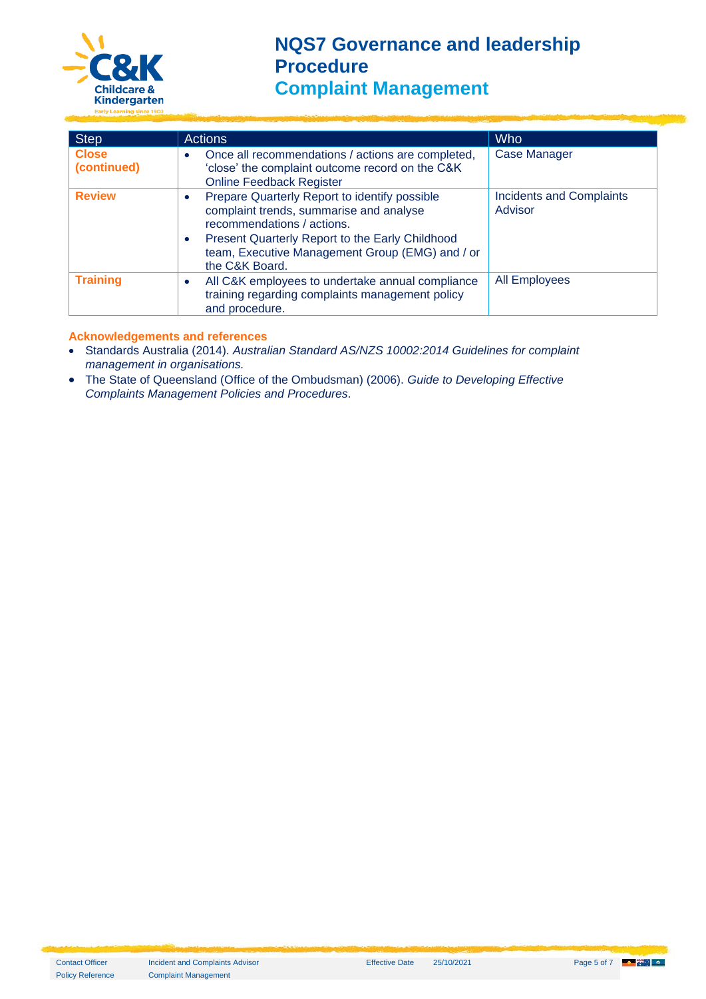

| <b>Step</b>                 | <b>Actions</b>                                                                                                                                                                                                                                              | <b>Who</b>                                 |  |  |
|-----------------------------|-------------------------------------------------------------------------------------------------------------------------------------------------------------------------------------------------------------------------------------------------------------|--------------------------------------------|--|--|
| <b>Close</b><br>(continued) | Once all recommendations / actions are completed,<br>'close' the complaint outcome record on the C&K<br><b>Online Feedback Register</b>                                                                                                                     | <b>Case Manager</b>                        |  |  |
| <b>Review</b>               | Prepare Quarterly Report to identify possible<br>$\bullet$<br>complaint trends, summarise and analyse<br>recommendations / actions.<br>Present Quarterly Report to the Early Childhood<br>team, Executive Management Group (EMG) and / or<br>the C&K Board. | <b>Incidents and Complaints</b><br>Advisor |  |  |
| <b>Training</b>             | All C&K employees to undertake annual compliance<br>training regarding complaints management policy<br>and procedure.                                                                                                                                       | <b>All Employees</b>                       |  |  |

#### **Acknowledgements and references**

- Standards Australia (2014). *Australian Standard AS/NZS 10002:2014 Guidelines for complaint management in organisations.*
- The State of Queensland (Office of the Ombudsman) (2006). *Guide to Developing Effective Complaints Management Policies and Procedures.*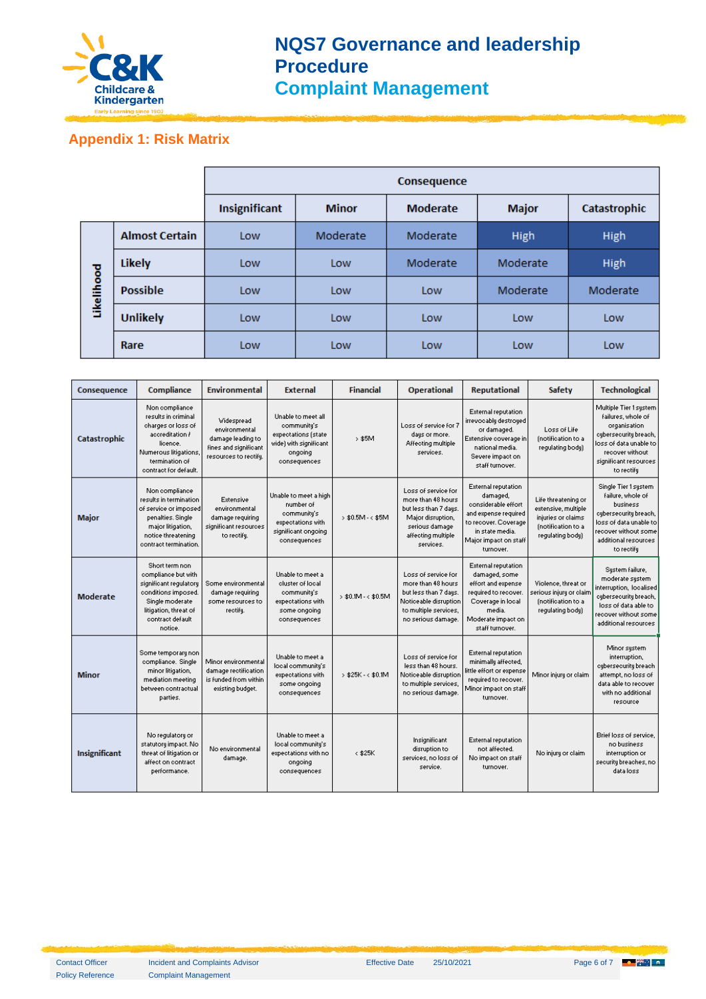

#### **Appendix 1: Risk Matrix**

|            |                       | Consequence   |              |                 |              |              |
|------------|-----------------------|---------------|--------------|-----------------|--------------|--------------|
|            |                       | Insignificant | <b>Minor</b> | <b>Moderate</b> | <b>Major</b> | Catastrophic |
| Likelihood | <b>Almost Certain</b> | Low           | Moderate     | Moderate        | High         | High         |
|            | <b>Likely</b>         | Low           | Low          | Moderate        | Moderate     | High         |
|            | <b>Possible</b>       | Low           | Low          | Low             | Moderate     | Moderate     |
|            | <b>Unlikely</b>       | Low           | Low          | Low             | Low          | Low          |
|            | Rare                  | Low           | Low          | Low             | Low          | Low          |

| Consequence          | Compliance                                                                                                                                                        | <b>Environmental</b>                                                                               | <b>External</b>                                                                                               | <b>Financial</b>      | <b>Operational</b>                                                                                                                           | <b>Reputational</b>                                                                                                                                                    | <b>Safety</b>                                                                                              | <b>Technological</b>                                                                                                                                                      |
|----------------------|-------------------------------------------------------------------------------------------------------------------------------------------------------------------|----------------------------------------------------------------------------------------------------|---------------------------------------------------------------------------------------------------------------|-----------------------|----------------------------------------------------------------------------------------------------------------------------------------------|------------------------------------------------------------------------------------------------------------------------------------------------------------------------|------------------------------------------------------------------------------------------------------------|---------------------------------------------------------------------------------------------------------------------------------------------------------------------------|
| Catastrophic         | Non compliance<br>results in criminal<br>charges or loss of<br>accreditation /<br>licence.<br>Numerous litigations,<br>termination of<br>contract for default.    | Widespread<br>environmental<br>damage leading to<br>fines and significant<br>resources to rectify. | Unable to meet all<br>community's<br>expectations (state<br>wide) with significant<br>ongoing<br>consequences | $>$ \$5M              | Loss of service for 7<br>days or more.<br>Affecting multiple<br>services.                                                                    | External reputation<br>irrevocably destroyed<br>or damaged.<br>Extensive coverage in<br>national media.<br>Severe impact on<br>staff turnover.                         | Loss of Life<br>(notification to a<br>regulating body)                                                     | Multiple Tier 1 system<br>failures, whole of<br>organisation<br>cybersecurity breach,<br>loss of data unable to<br>recover without<br>significant resources<br>to rectify |
| <b>Major</b>         | Non compliance<br>results in termination<br>of service or imposed<br>penalties. Single<br>major litigation,<br>notice threatening<br>contract termination.        | Extensive<br>environmental<br>damage requiring<br>significant resources<br>to rectify.             | Unable to meet a high<br>number of<br>community's<br>expectations with<br>significant ongoing<br>consequences | $>$ \$0.5M - < \$5M   | Loss of service for<br>more than 48 hours.<br>but less than 7 days<br>Major disruption,<br>serious damage<br>affecting multiple<br>services. | <b>External reputation</b><br>damaged.<br>considerable effort<br>and expense required<br>to recover. Coverage<br>in state media.<br>Major impact on staff<br>turnover. | Life threatening or<br>extensive, multiple<br>injuries or claims<br>(notification to a<br>regulating body) | Single Tier 1 system<br>failure, whole of<br>business<br>cybersecurity breach,<br>loss of data unable to<br>recover without some<br>additional resources<br>to rectifu    |
| <b>Moderate</b>      | Short term non<br>compliance but with<br>significant regulatory<br>conditions imposed.<br>Single moderate<br>litigation, threat of<br>contract default<br>notice. | Some environmental<br>damage requiring<br>some resources to<br>rectify.                            | Unable to meet a<br>cluster of local<br>community's<br>expectations with<br>some ongoing<br>consequences      | $>$ \$0.1M - < \$0.5M | Loss of service for<br>more than 48 hours<br>but less than 7 days.<br>Noticeable disruption<br>to multiple services,<br>no serious damage.   | External reputation<br>damaged, some<br>effort and expense<br>required to recover.<br>Coverage in local<br>media.<br>Moderate impact on<br>staff turnover.             | Violence, threat or<br>serious injury or claim<br>(notification to a<br>regulating body)                   | System failure,<br>moderate system<br>interruption, localised<br>cybersecurity breach,<br>loss of data able to<br>recover without some<br>additional resources            |
| <b>Minor</b>         | Some temporary non-<br>compliance. Single<br>minor litigation,<br>mediation meeting<br>between contractual<br>parties.                                            | Minor environmental<br>damage rectification<br>is funded from within<br>existing budget.           | Unable to meet a<br>local community's<br>expectations with<br>some ongoing<br>consequences                    | $>$ \$25K - < \$0.1M  | Loss of service for<br>less than 48 hours.<br>Noticeable disruption<br>to multiple services.<br>no serious damage.                           | External reputation<br>minimally affected,<br>little effort or expense<br>required to recover.<br>Minor impact on staff<br>turnover.                                   | Minor injury or claim                                                                                      | Minor system<br>interruption,<br>cybersecurity breach<br>attempt, no loss of<br>data able to recover<br>with no additional<br>resource                                    |
| <b>Insignificant</b> | No regulatory or<br>statutorų impact. No<br>threat of litigation or<br>affect on contract<br>performance.                                                         | No environmental<br>damage.                                                                        | Unable to meet a<br>local community's<br>expectations with no<br>ongoing<br>consequences                      | < \$25K               | Insignificant<br>disruption to<br>services, no loss of<br>service.                                                                           | External reputation<br>not affected.<br>No impact on staff<br>turnover.                                                                                                | No injury or claim                                                                                         | Brief loss of service,<br>no business<br>interruption or<br>security breaches, no<br>data loss                                                                            |